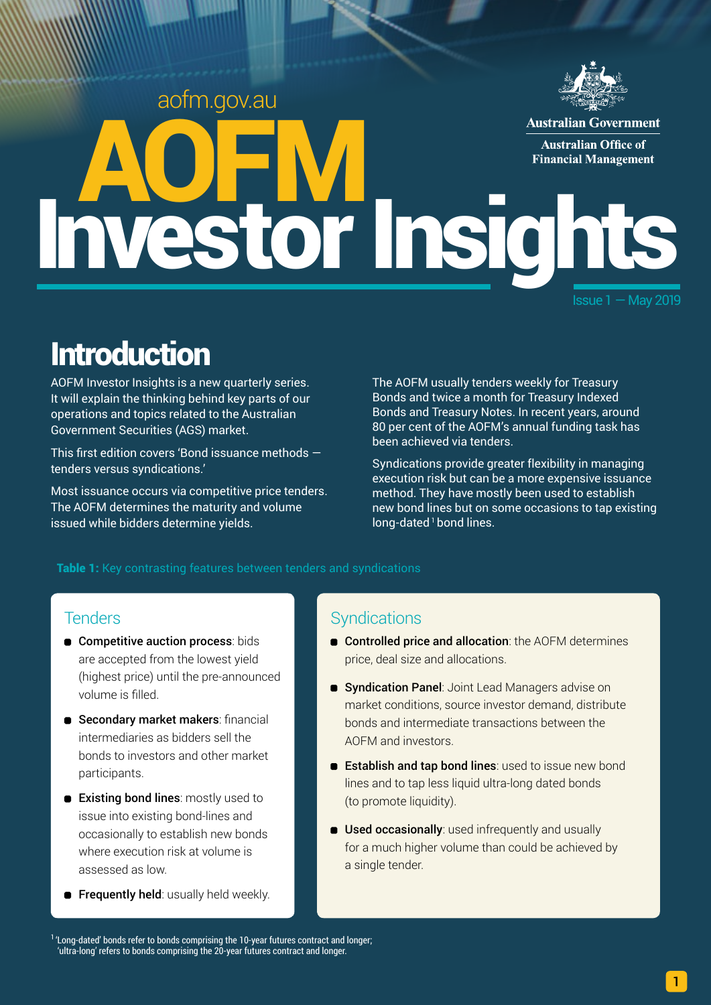

# aofm.gov.au AOFM Australian Office of

Issue 1 — May 2019

# **Introduction**

AOFM Investor Insights is a new quarterly series. It will explain the thinking behind key parts of our operations and topics related to the Australian Government Securities (AGS) market.

This first edition covers 'Bond issuance methods tenders versus syndications.'

Most issuance occurs via competitive price tenders. The AOFM determines the maturity and volume issued while bidders determine yields.

The AOFM usually tenders weekly for Treasury Bonds and twice a month for Treasury Indexed Bonds and Treasury Notes. In recent years, around 80 per cent of the AOFM's annual funding task has been achieved via tenders.

Syndications provide greater flexibility in managing execution risk but can be a more expensive issuance method. They have mostly been used to establish new bond lines but on some occasions to tap existing long-dated<sup>1</sup> bond lines.

### Table 1: Key contrasting features between tenders and syndications

## **Tenders**

- **Competitive auction process:** bids are accepted from the lowest yield (highest price) until the pre-announced volume is filled.
- **B** Secondary market makers: financial intermediaries as bidders sell the bonds to investors and other market participants.
- **Existing bond lines:** mostly used to issue into existing bond-lines and occasionally to establish new bonds where execution risk at volume is assessed as low.
- **Frequently held:** usually held weekly.

## **Syndications**

- **Controlled price and allocation**: the AOFM determines price, deal size and allocations.
- **Syndication Panel:** Joint Lead Managers advise on market conditions, source investor demand, distribute bonds and intermediate transactions between the AOFM and investors.
- **Establish and tap bond lines:** used to issue new bond lines and to tap less liquid ultra-long dated bonds (to promote liquidity).
- **Used occasionally**: used infrequently and usually for a much higher volume than could be achieved by a single tender.

<sup>1</sup> 'Long-dated' bonds refer to bonds comprising the 10-year futures contract and longer; 'ultra-long' refers to bonds comprising the 20-year futures contract and longer.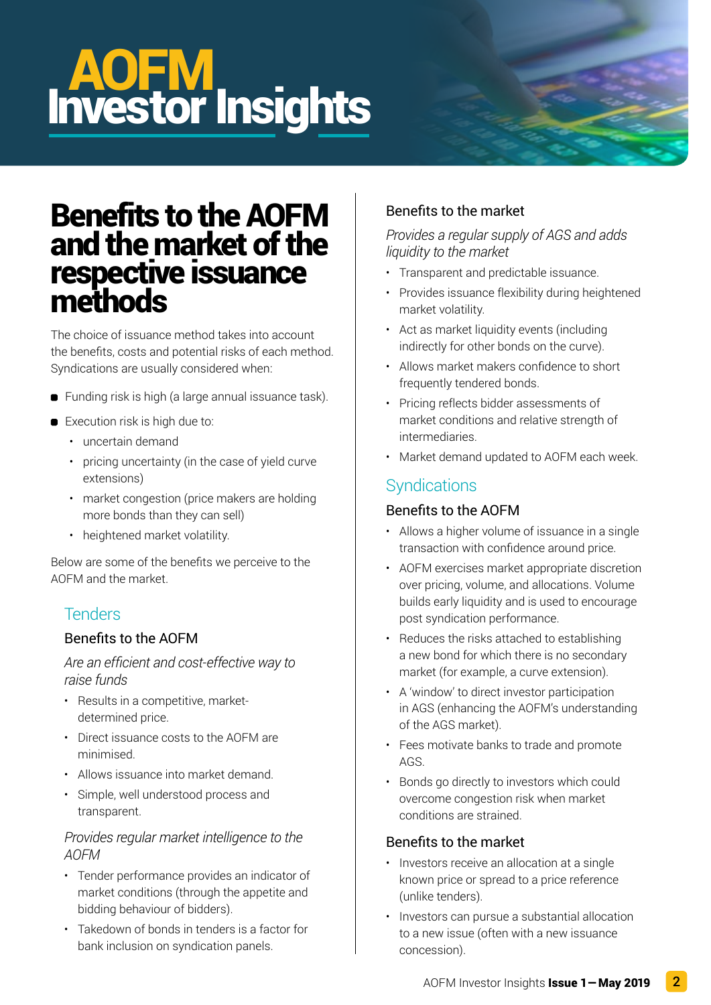# AOFM Investor Insights

## Benefits to the AOFM and the market of the respective issuance methode

The choice of issuance method takes into account the benefits, costs and potential risks of each method. Syndications are usually considered when:

- **Funding risk is high (a large annual issuance task).**
- Execution risk is high due to:
	- uncertain demand
	- pricing uncertainty (in the case of yield curve extensions)
	- market congestion (price makers are holding more bonds than they can sell)
	- heightened market volatility.

Below are some of the benefits we perceive to the AOFM and the market.

## **Tenders**

## Benefits to the AOFM

*Are an efficient and cost-effective way to raise funds*

- Results in a competitive, marketdetermined price.
- Direct issuance costs to the AOFM are minimised.
- Allows issuance into market demand.
- Simple, well understood process and transparent.

### *Provides regular market intelligence to the AOFM*

- Tender performance provides an indicator of market conditions (through the appetite and bidding behaviour of bidders).
- Takedown of bonds in tenders is a factor for bank inclusion on syndication panels.

## Benefits to the market

*Provides a regular supply of AGS and adds liquidity to the market*

- Transparent and predictable issuance.
- Provides issuance flexibility during heightened market volatility.
- Act as market liquidity events (including indirectly for other bonds on the curve).
- Allows market makers confidence to short frequently tendered bonds.
- Pricing reflects bidder assessments of market conditions and relative strength of intermediaries.
- Market demand updated to AOFM each week.

## **Syndications**

## Benefits to the AOFM

- Allows a higher volume of issuance in a single transaction with confidence around price.
- AOFM exercises market appropriate discretion over pricing, volume, and allocations. Volume builds early liquidity and is used to encourage post syndication performance.
- Reduces the risks attached to establishing a new bond for which there is no secondary market (for example, a curve extension).
- A 'window' to direct investor participation in AGS (enhancing the AOFM's understanding of the AGS market).
- Fees motivate banks to trade and promote AGS.
- Bonds go directly to investors which could overcome congestion risk when market conditions are strained.

## Benefits to the market

- Investors receive an allocation at a single known price or spread to a price reference (unlike tenders).
- Investors can pursue a substantial allocation to a new issue (often with a new issuance concession).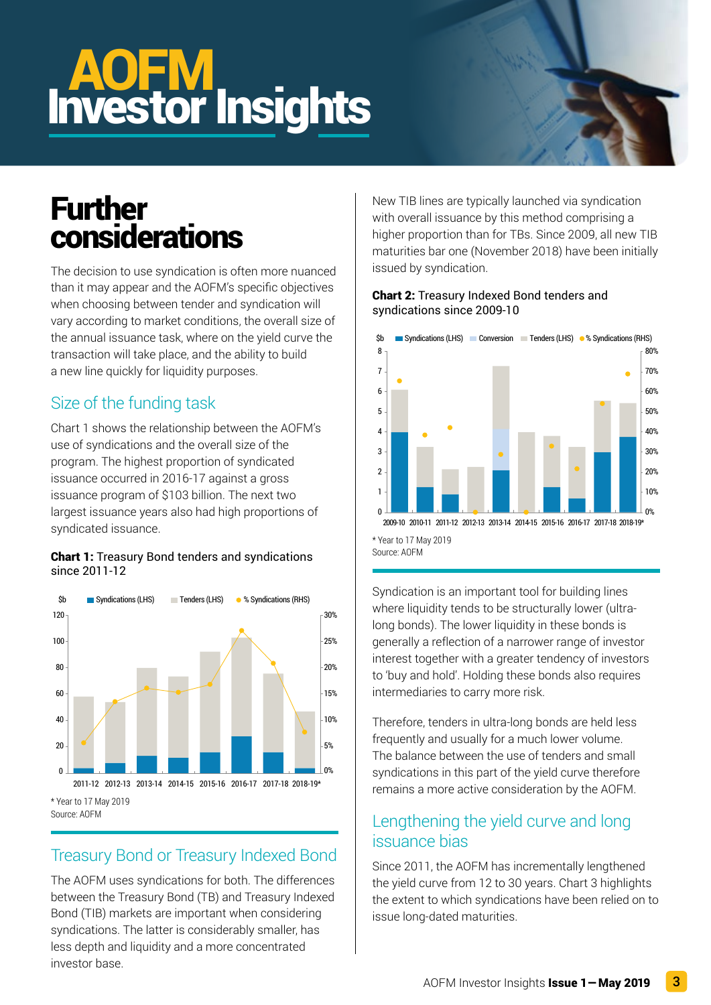# **AOFM**<br>Investor Insights

## Further considerations

The decision to use syndication is often more nuanced than it may appear and the AOFM's specific objectives when choosing between tender and syndication will vary according to market conditions, the overall size of the annual issuance task, where on the yield curve the transaction will take place, and the ability to build a new line quickly for liquidity purposes.

## Size of the funding task

Chart 1 shows the relationship between the AOFM's use of syndications and the overall size of the program. The highest proportion of syndicated issuance occurred in 2016-17 against a gross issuance program of \$103 billion. The next two largest issuance years also had high proportions of syndicated issuance.

#### Chart 1: Treasury Bond tenders and syndications since 2011-12



## Treasury Bond or Treasury Indexed Bond

The AOFM uses syndications for both. The differences between the Treasury Bond (TB) and Treasury Indexed Bond (TIB) markets are important when considering syndications. The latter is considerably smaller, has less depth and liquidity and a more concentrated investor base.

New TIB lines are typically launched via syndication with overall issuance by this method comprising a higher proportion than for TBs. Since 2009, all new TIB maturities bar one (November 2018) have been initially issued by syndication.

### Chart 2: Treasury Indexed Bond tenders and syndications since 2009-10



Syndication is an important tool for building lines where liquidity tends to be structurally lower (ultralong bonds). The lower liquidity in these bonds is generally a reflection of a narrower range of investor interest together with a greater tendency of investors to 'buy and hold'. Holding these bonds also requires intermediaries to carry more risk.

Therefore, tenders in ultra-long bonds are held less frequently and usually for a much lower volume. The balance between the use of tenders and small syndications in this part of the yield curve therefore remains a more active consideration by the AOFM.

## Lengthening the yield curve and long issuance bias

Since 2011, the AOFM has incrementally lengthened the yield curve from 12 to 30 years. Chart 3 highlights the extent to which syndications have been relied on to issue long-dated maturities.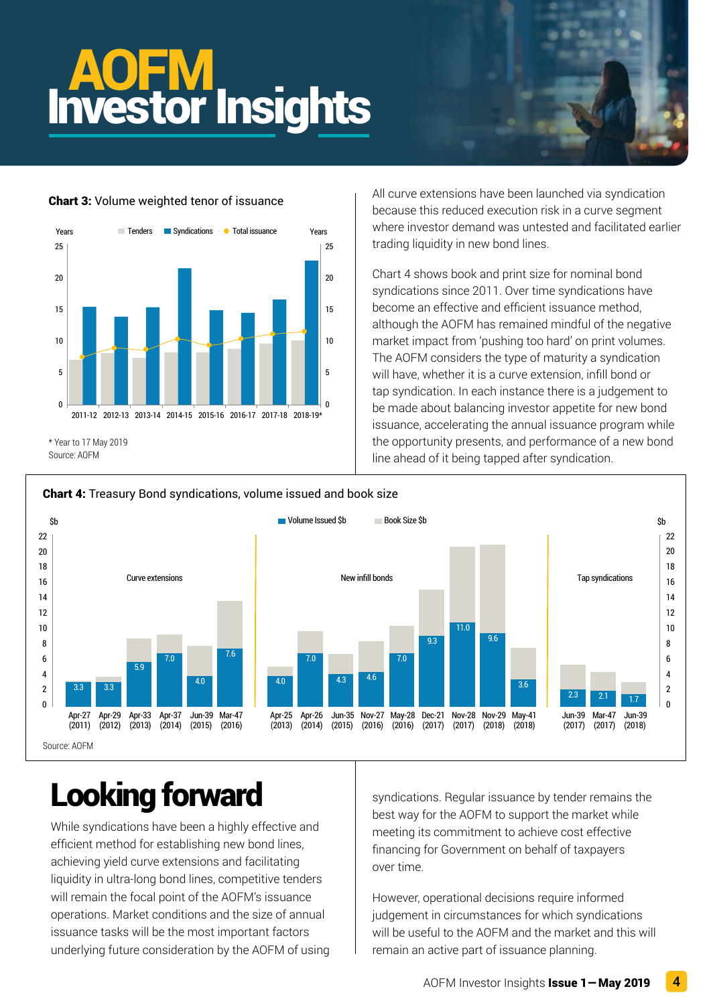# **AUFM**<br>Investor Insights

### Chart 3: Volume weighted tenor of issuance



All curve extensions have been launched via syndication because this reduced execution risk in a curve segment where investor demand was untested and facilitated earlier trading liquidity in new bond lines.

Chart 4 shows book and print size for nominal bond syndications since 2011. Over time syndications have become an effective and efficient issuance method, although the AOFM has remained mindful of the negative market impact from 'pushing too hard' on print volumes. The AOFM considers the type of maturity a syndication will have, whether it is a curve extension, infill bond or tap syndication. In each instance there is a judgement to be made about balancing investor appetite for new bond issuance, accelerating the annual issuance program while the opportunity presents, and performance of a new bond line ahead of it being tapped after syndication.



## Chart 4: Treasury Bond syndications, volume issued and book size

# Looking forward

While syndications have been a highly effective and efficient method for establishing new bond lines, achieving yield curve extensions and facilitating liquidity in ultra-long bond lines, competitive tenders will remain the focal point of the AOFM's issuance operations. Market conditions and the size of annual issuance tasks will be the most important factors underlying future consideration by the AOFM of using syndications. Regular issuance by tender remains the best way for the AOFM to support the market while meeting its commitment to achieve cost effective financing for Government on behalf of taxpayers over time.

However, operational decisions require informed judgement in circumstances for which syndications will be useful to the AOFM and the market and this will remain an active part of issuance planning.